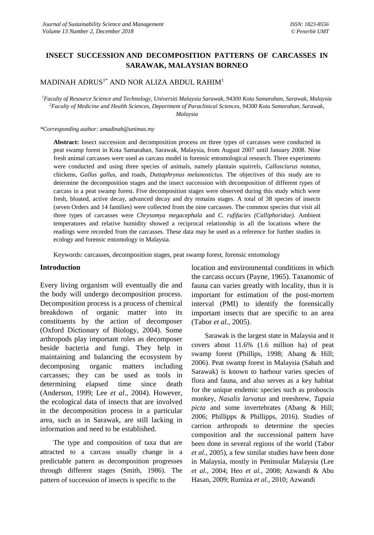# **INSECT SUCCESSION AND DECOMPOSITION PATTERNS OF CARCASSES IN SARAWAK, MALAYSIAN BORNEO**

MADINAH ADRUS<sup>1\*</sup> AND NOR ALIZA ABDUL RAHIM<sup>1</sup>

*<sup>1</sup>Faculty of Resource Science and Technology, Universiti Malaysia Sarawak, 94300 Kota Samarahan, Sarawak, Malaysia <sup>2</sup>Faculty of Medicine and Health Sciences, Department of Paraclinical Sciences, 94300 Kota Samarahan, Sarawak, Malaysia*

*\*Corresponding author: amadinah@unimas.my*

**Abstract:** Insect succession and decomposition process on three types of carcasses were conducted in peat swamp forest in Kota Samarahan, Sarawak, Malaysia, from August 2007 until January 2008. Nine fresh animal carcasses were used as carcass model in forensic entomological research. Three experiments were conducted and using three species of animals, namely plantain squirrels, *Callosciurus notatus,*  chickens, *Gallus gallus,* and toads, *Duttaphrynus melanostictus.* The objectives of this study are to determine the decomposition stages and the insect succession with decomposition of different types of carcass in a peat swamp forest. Five decomposition stages were observed during this study which were fresh, bloated, active decay, advanced decay and dry remains stages. A total of 38 species of insects (seven Orders and 14 families) were collected from the nine carcasses. The common species that visit all three types of carcasses were *Chrysomya megacephala* and *C. rufifacies (Calliphoridae).* Ambient temperatures and relative humidity showed a reciprocal relationship in all the locations where the readings were recorded from the carcasses. These data may be used as a reference for further studies in ecology and forensic entomology in Malaysia.

Keywords: carcasses, decomposition stages, peat swamp forest, forensic entomology

#### **Introduction**

Every living organism will eventually die and the body will undergo decomposition process. Decomposition process is a process of chemical breakdown of organic matter into its constituents by the action of decomposer (Oxford Dictionary of Biology, 2004). Some arthropods play important roles as decomposer beside bacteria and fungi. They help in maintaining and balancing the ecosystem by decomposing organic matters including carcasses; they can be used as tools in determining elapsed time since death (Anderson, 1999; Lee *et al.,* 2004). However, the ecological data of insects that are involved in the decomposition process in a particular area, such as in Sarawak, are still lacking in information and need to be established.

The type and composition of taxa that are attracted to a carcass usually change in a predictable pattern as decomposition progresses through different stages (Smith, 1986). The pattern of succession of insects is specific to the

location and environmental conditions in which the carcass occurs (Payne, 1965). Taxanomic of fauna can varies greatly with locality, thus it is important for estimation of the post-mortem interval (PMI) to identify the forensically important insects that are specific to an area (Tabor *et al.,* 2005).

Sarawak is the largest state in Malaysia and it covers about 11.6% (1.6 million ha) of peat swamp forest (Phillips, 1998; Abang & Hill; 2006). Peat swamp forest in Malaysia (Sabah and Sarawak) is known to harbour varies species of flora and fauna, and also serves as a key habitat for the unique endemic species such as proboscis monkey, *Nasalis larvatus* and treeshrew, *Tupaia picta* and some invertebrates (Abang & Hill; 2006; Phillipps & Phillipps, 2016). Studies of carrion arthropods to determine the species composition and the successional pattern have been done in several regions of the world (Tabor *et al.,* 2005), a few similar studies have been done in Malaysia, mostly in Peninsular Malaysia (Lee *et al.,* 2004; Heo *et al.,* 2008; Azwandi & Abu Hasan, 2009; Rumiza *et al.,* 2010; Azwandi